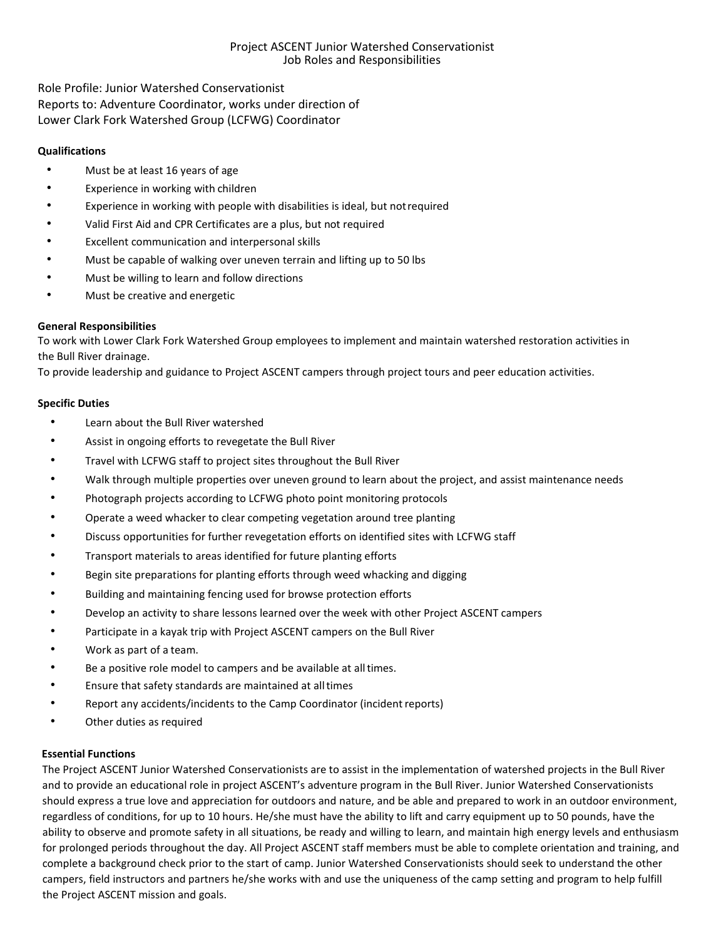## Project ASCENT Junior Watershed Conservationist Job Roles and Responsibilities

Role Profile: Junior Watershed Conservationist Reports to: Adventure Coordinator, works under direction of Lower Clark Fork Watershed Group (LCFWG) Coordinator

## **Qualifications**

- Must be at least 16 years of age
- Experience in working with children
- Experience in working with people with disabilities is ideal, but notrequired
- Valid First Aid and CPR Certificates are a plus, but not required
- Excellent communication and interpersonal skills
- Must be capable of walking over uneven terrain and lifting up to 50 lbs
- Must be willing to learn and follow directions
- Must be creative and energetic

# **General Responsibilities**

To work with Lower Clark Fork Watershed Group employees to implement and maintain watershed restoration activities in the Bull River drainage.

To provide leadership and guidance to Project ASCENT campers through project tours and peer education activities.

### **Specific Duties**

- Learn about the Bull River watershed
- Assist in ongoing efforts to revegetate the Bull River
- Travel with LCFWG staff to project sites throughout the Bull River
- Walk through multiple properties over uneven ground to learn about the project, and assist maintenance needs
- Photograph projects according to LCFWG photo point monitoring protocols
- Operate a weed whacker to clear competing vegetation around tree planting
- Discuss opportunities for further revegetation efforts on identified sites with LCFWG staff
- Transport materials to areas identified for future planting efforts
- Begin site preparations for planting efforts through weed whacking and digging
- Building and maintaining fencing used for browse protection efforts
- Develop an activity to share lessons learned over the week with other Project ASCENT campers
- Participate in a kayak trip with Project ASCENT campers on the Bull River
- Work as part of a team.
- Be a positive role model to campers and be available at alltimes.
- Ensure that safety standards are maintained at alltimes
- Report any accidents/incidents to the Camp Coordinator (incident reports)
- Other duties as required

### **Essential Functions**

The Project ASCENT Junior Watershed Conservationists are to assist in the implementation of watershed projects in the Bull River and to provide an educational role in project ASCENT's adventure program in the Bull River. Junior Watershed Conservationists should express a true love and appreciation for outdoors and nature, and be able and prepared to work in an outdoor environment, regardless of conditions, for up to 10 hours. He/she must have the ability to lift and carry equipment up to 50 pounds, have the ability to observe and promote safety in all situations, be ready and willing to learn, and maintain high energy levels and enthusiasm for prolonged periods throughout the day. All Project ASCENT staff members must be able to complete orientation and training, and complete a background check prior to the start of camp. Junior Watershed Conservationists should seek to understand the other campers, field instructors and partners he/she works with and use the uniqueness of the camp setting and program to help fulfill the Project ASCENT mission and goals.